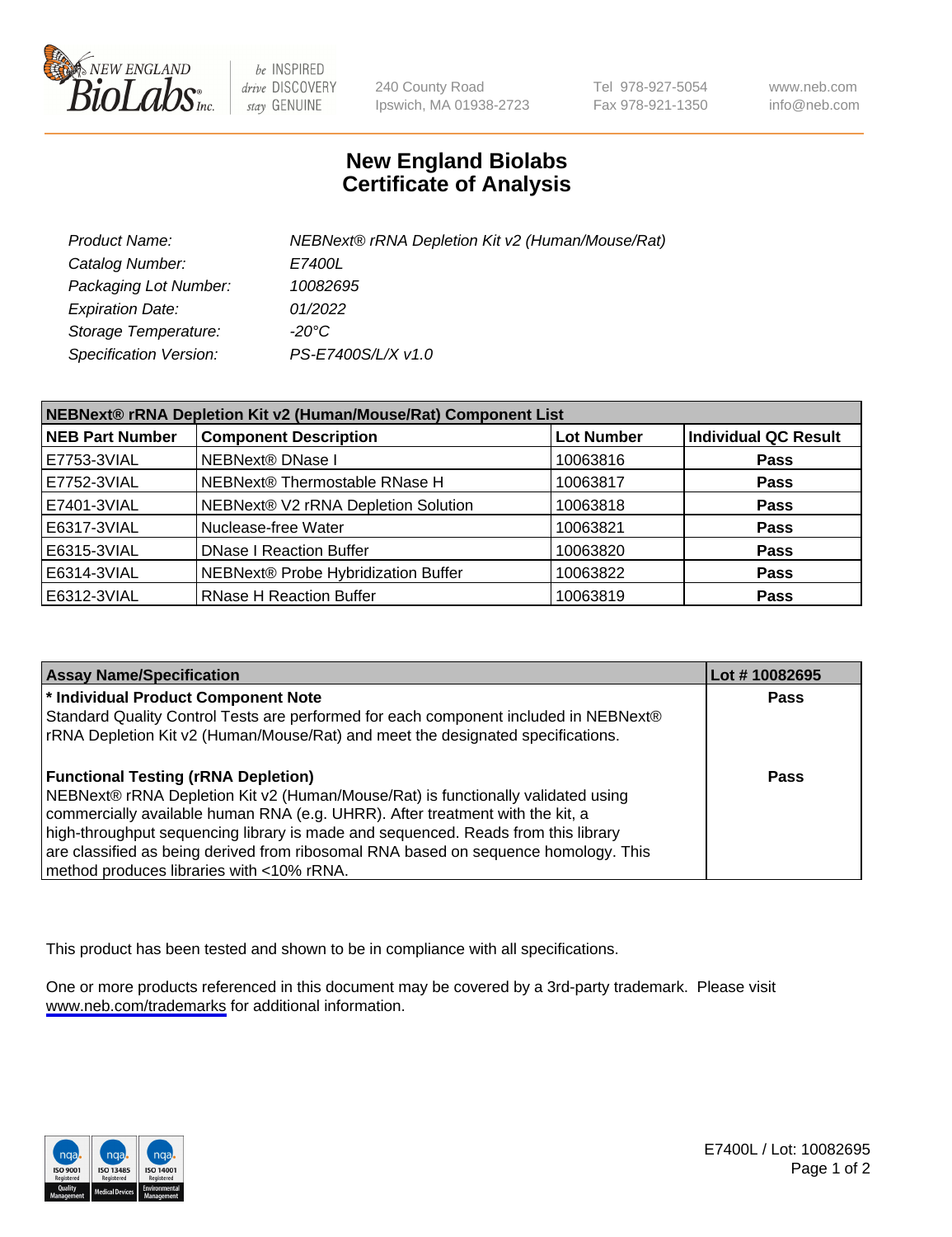

be INSPIRED drive DISCOVERY stay GENUINE

240 County Road Ipswich, MA 01938-2723 Tel 978-927-5054 Fax 978-921-1350

www.neb.com info@neb.com

## **New England Biolabs Certificate of Analysis**

| Product Name:           | NEBNext® rRNA Depletion Kit v2 (Human/Mouse/Rat) |
|-------------------------|--------------------------------------------------|
| Catalog Number:         | <i>E7400L</i>                                    |
| Packaging Lot Number:   | 10082695                                         |
| <b>Expiration Date:</b> | 01/2022                                          |
| Storage Temperature:    | -20°C                                            |
| Specification Version:  | PS-E7400S/L/X v1.0                               |

| NEBNext® rRNA Depletion Kit v2 (Human/Mouse/Rat) Component List |                                     |                   |                             |  |
|-----------------------------------------------------------------|-------------------------------------|-------------------|-----------------------------|--|
| <b>NEB Part Number</b>                                          | <b>Component Description</b>        | <b>Lot Number</b> | <b>Individual QC Result</b> |  |
| E7753-3VIAL                                                     | <b>NEBNext® DNase I</b>             | 10063816          | <b>Pass</b>                 |  |
| E7752-3VIAL                                                     | NEBNext® Thermostable RNase H       | 10063817          | <b>Pass</b>                 |  |
| E7401-3VIAL                                                     | NEBNext® V2 rRNA Depletion Solution | 10063818          | <b>Pass</b>                 |  |
| E6317-3VIAL                                                     | Nuclease-free Water                 | 10063821          | <b>Pass</b>                 |  |
| E6315-3VIAL                                                     | <b>DNase I Reaction Buffer</b>      | 10063820          | <b>Pass</b>                 |  |
| E6314-3VIAL                                                     | NEBNext® Probe Hybridization Buffer | 10063822          | <b>Pass</b>                 |  |
| E6312-3VIAL                                                     | <b>RNase H Reaction Buffer</b>      | 10063819          | <b>Pass</b>                 |  |

| <b>Assay Name/Specification</b>                                                      | Lot #10082695 |
|--------------------------------------------------------------------------------------|---------------|
| * Individual Product Component Note                                                  | <b>Pass</b>   |
| Standard Quality Control Tests are performed for each component included in NEBNext® |               |
| rRNA Depletion Kit v2 (Human/Mouse/Rat) and meet the designated specifications.      |               |
| <b>Functional Testing (rRNA Depletion)</b>                                           | Pass          |
| NEBNext® rRNA Depletion Kit v2 (Human/Mouse/Rat) is functionally validated using     |               |
| commercially available human RNA (e.g. UHRR). After treatment with the kit, a        |               |
| high-throughput sequencing library is made and sequenced. Reads from this library    |               |
| are classified as being derived from ribosomal RNA based on sequence homology. This  |               |
| method produces libraries with <10% rRNA.                                            |               |

This product has been tested and shown to be in compliance with all specifications.

One or more products referenced in this document may be covered by a 3rd-party trademark. Please visit <www.neb.com/trademarks>for additional information.